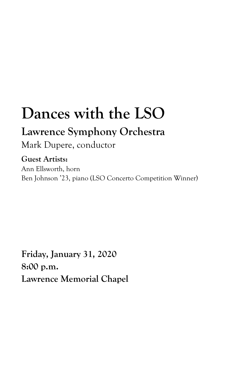# **Dances with the LSO**

# **Lawrence Symphony Orchestra**

Mark Dupere, conductor

# **Guest Artists:**

Ann Ellsworth, horn Ben Johnson '23, piano (LSO Concerto Competition Winner)

**Friday, January 31, 2020 8:00 p.m. Lawrence Memorial Chapel**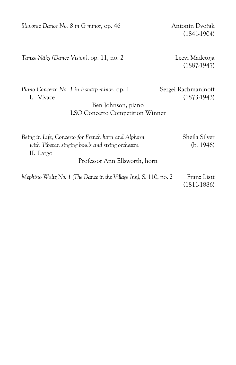Slavonic Dance No. 8 in G minor, op. 46 Antonín Dvořák

(1841-1904)

*Tanssi-Näky (Dance Vision)*, op. 11, no. *2* Leevi Madetoja

(1887-1947)

Piano Concerto No. 1 in F-sharp minor, op. 1 Sergei Rachmaninoff I. Vivace (1873-1943)

# Ben Johnson, piano LSO Concerto Competition Winner

| Being in Life, Concerto for French horn and Alphorn,               | Sheila Silver |
|--------------------------------------------------------------------|---------------|
| with Tibetan singing bowls and string orchestra                    | (b. 1946)     |
| II. Largo                                                          |               |
| Professor Ann Ellsworth, horn                                      |               |
| Mephisto Waltz No. 1 (The Dance in the Village Inn), S. 110, no. 2 | Franz Liszt   |

(1811-1886)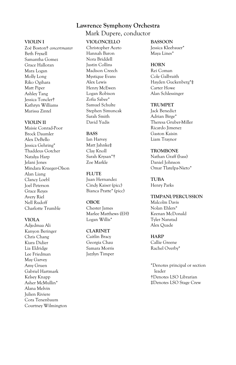## **Lawrence Symphony Orchestra**

Mark Dupere, conductor

#### **VIOLIN I**

Zoë Boston† *concertmaster* Beth Fryxell Samantha Gomez Grace Halloran Mara Logan Molly Long Riko Ogihara Matt Piper Ashley Tang Jessica Toncler† Kathryn Williams Marissa Zintel

#### **VIOLIN II**

Maisie Conrad-Poor Brock Daumler Alex DeBello Jessica Gehring\* Thaddeus Gotcher Natalya Harp Jelani Jones Mindara Krueger-Olson Alan Liang Clancy Loebl Joel Peterson Grace Reyes Avery Riel Nell Rudoff Charlotte Trumble

#### **VIOLA**

Adjedmaa Ali Kanyon Beringer Chris Chang Kiara Didier Lia Eldridge Lee Friedman May Garvey Amy Gruen Gabriel Hartmark Kelsey Knapp Asher McMullin\* Alana Melvin Julien Riviere Cora Tenenbaum Courtney Wilmington

#### **VIOLONCELLO**

Christopher Aceto Hannah Baron Nora Briddell Justin Collins Madison Creech Mystique Evans Alex Lewis Henry McEwen Logan Robison Zofia Sabee\* Samuel Schulte Stephen Simuncak Sarah Smith David Yudis

#### **BASS**

Ian Harvey Matt Jahnke‡ Clay Knoll Sarah Krysan\*† Zoe Markle

**FLUTE** Juan Hernandez Cindy Kaiser (picc) Bianca Pratte\* (picc)

#### **OBOE** Chester James Marlee Matthews (EH) Logan Willis\*

**CLARINET** Caitlin Bracy Georgia Chau Samara Morris Jazzlyn Timper **BASSOON**

Jessica Kleebauer\* Maya Lines\*

#### **HORN**

Rei Coman Cole Galbraith Hayden Guckenberg\*‡ Carter Howe Alan Schlessinger

#### **TRUMPET**

Jack Benedict Adrian Birge\* Theresa Gruber-Miller Ricardo Jimenez Gaston Kaisin Liam Traynor

#### **TROMBONE**

Nathan Graff (bass) Daniel Johnson Omar Tlatelpa-Nieto\*

**TUBA** Henry Parks

#### **TIMPANI/PERCUSSION**

Malcolm Davis Nolan Ehlers\* Keenan McDonald Tyler Nanstad Alex Quade

#### **HARP**

Callie Greene Rachel Overby\*

\*Denotes principal or section leader †Denotes LSO Librarian ‡Denotes LSO Stage Crew